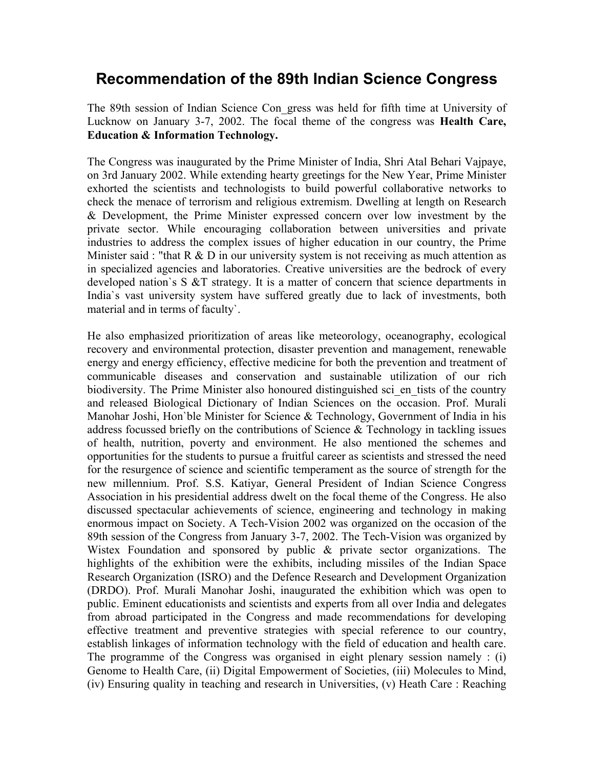# **Recommendation of the 89th Indian Science Congress**

The 89th session of Indian Science Con\_gress was held for fifth time at University of Lucknow on January 3-7, 2002. The focal theme of the congress was **Health Care, Education & Information Technology.**

The Congress was inaugurated by the Prime Minister of India, Shri Atal Behari Vajpaye, on 3rd January 2002. While extending hearty greetings for the New Year, Prime Minister exhorted the scientists and technologists to build powerful collaborative networks to check the menace of terrorism and religious extremism. Dwelling at length on Research & Development, the Prime Minister expressed concern over low investment by the private sector. While encouraging collaboration between universities and private industries to address the complex issues of higher education in our country, the Prime Minister said : "that  $R \& D$  in our university system is not receiving as much attention as in specialized agencies and laboratories. Creative universities are the bedrock of every developed nation`s S &T strategy. It is a matter of concern that science departments in India`s vast university system have suffered greatly due to lack of investments, both material and in terms of faculty`.

He also emphasized prioritization of areas like meteorology, oceanography, ecological recovery and environmental protection, disaster prevention and management, renewable energy and energy efficiency, effective medicine for both the prevention and treatment of communicable diseases and conservation and sustainable utilization of our rich biodiversity. The Prime Minister also honoured distinguished sci\_en\_tists of the country and released Biological Dictionary of Indian Sciences on the occasion. Prof. Murali Manohar Joshi, Hon`ble Minister for Science & Technology, Government of India in his address focussed briefly on the contributions of Science  $\&$  Technology in tackling issues of health, nutrition, poverty and environment. He also mentioned the schemes and opportunities for the students to pursue a fruitful career as scientists and stressed the need for the resurgence of science and scientific temperament as the source of strength for the new millennium. Prof. S.S. Katiyar, General President of Indian Science Congress Association in his presidential address dwelt on the focal theme of the Congress. He also discussed spectacular achievements of science, engineering and technology in making enormous impact on Society. A Tech-Vision 2002 was organized on the occasion of the 89th session of the Congress from January 3-7, 2002. The Tech-Vision was organized by Wistex Foundation and sponsored by public & private sector organizations. The highlights of the exhibition were the exhibits, including missiles of the Indian Space Research Organization (ISRO) and the Defence Research and Development Organization (DRDO). Prof. Murali Manohar Joshi, inaugurated the exhibition which was open to public. Eminent educationists and scientists and experts from all over India and delegates from abroad participated in the Congress and made recommendations for developing effective treatment and preventive strategies with special reference to our country, establish linkages of information technology with the field of education and health care. The programme of the Congress was organised in eight plenary session namely : (i) Genome to Health Care, (ii) Digital Empowerment of Societies, (iii) Molecules to Mind, (iv) Ensuring quality in teaching and research in Universities, (v) Heath Care : Reaching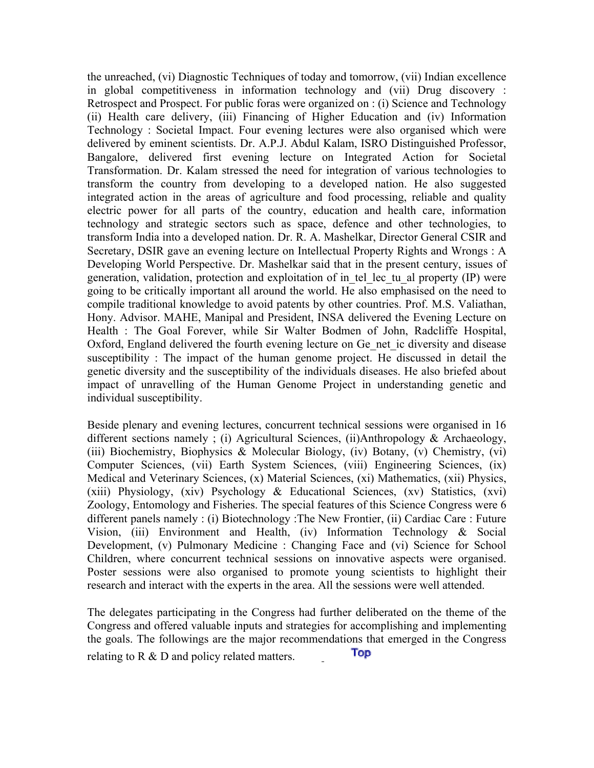the unreached, (vi) Diagnostic Techniques of today and tomorrow, (vii) Indian excellence in global competitiveness in information technology and (vii) Drug discovery : Retrospect and Prospect. For public foras were organized on : (i) Science and Technology (ii) Health care delivery, (iii) Financing of Higher Education and (iv) Information Technology : Societal Impact. Four evening lectures were also organised which were delivered by eminent scientists. Dr. A.P.J. Abdul Kalam, ISRO Distinguished Professor, Bangalore, delivered first evening lecture on Integrated Action for Societal Transformation. Dr. Kalam stressed the need for integration of various technologies to transform the country from developing to a developed nation. He also suggested integrated action in the areas of agriculture and food processing, reliable and quality electric power for all parts of the country, education and health care, information technology and strategic sectors such as space, defence and other technologies, to transform India into a developed nation. Dr. R. A. Mashelkar, Director General CSIR and Secretary, DSIR gave an evening lecture on Intellectual Property Rights and Wrongs : A Developing World Perspective. Dr. Mashelkar said that in the present century, issues of generation, validation, protection and exploitation of in\_tel\_lec\_tu\_al property (IP) were going to be critically important all around the world. He also emphasised on the need to compile traditional knowledge to avoid patents by other countries. Prof. M.S. Valiathan, Hony. Advisor. MAHE, Manipal and President, INSA delivered the Evening Lecture on Health : The Goal Forever, while Sir Walter Bodmen of John, Radcliffe Hospital, Oxford, England delivered the fourth evening lecture on Ge net ic diversity and disease susceptibility : The impact of the human genome project. He discussed in detail the genetic diversity and the susceptibility of the individuals diseases. He also briefed about impact of unravelling of the Human Genome Project in understanding genetic and individual susceptibility.

Beside plenary and evening lectures, concurrent technical sessions were organised in 16 different sections namely ; (i) Agricultural Sciences, (ii)Anthropology & Archaeology, (iii) Biochemistry, Biophysics & Molecular Biology, (iv) Botany, (v) Chemistry, (vi) Computer Sciences, (vii) Earth System Sciences, (viii) Engineering Sciences, (ix) Medical and Veterinary Sciences, (x) Material Sciences, (xi) Mathematics, (xii) Physics, (xiii) Physiology, (xiv) Psychology & Educational Sciences, (xv) Statistics, (xvi) Zoology, Entomology and Fisheries. The special features of this Science Congress were 6 different panels namely : (i) Biotechnology :The New Frontier, (ii) Cardiac Care : Future Vision, (iii) Environment and Health, (iv) Information Technology & Social Development, (v) Pulmonary Medicine : Changing Face and (vi) Science for School Children, where concurrent technical sessions on innovative aspects were organised. Poster sessions were also organised to promote young scientists to highlight their research and interact with the experts in the area. All the sessions were well attended.

The delegates participating in the Congress had further deliberated on the theme of the Congress and offered valuable inputs and strategies for accomplishing and implementing the goals. The followings are the major recommendations that emerged in the Congress **Top** relating to R & D and policy related matters.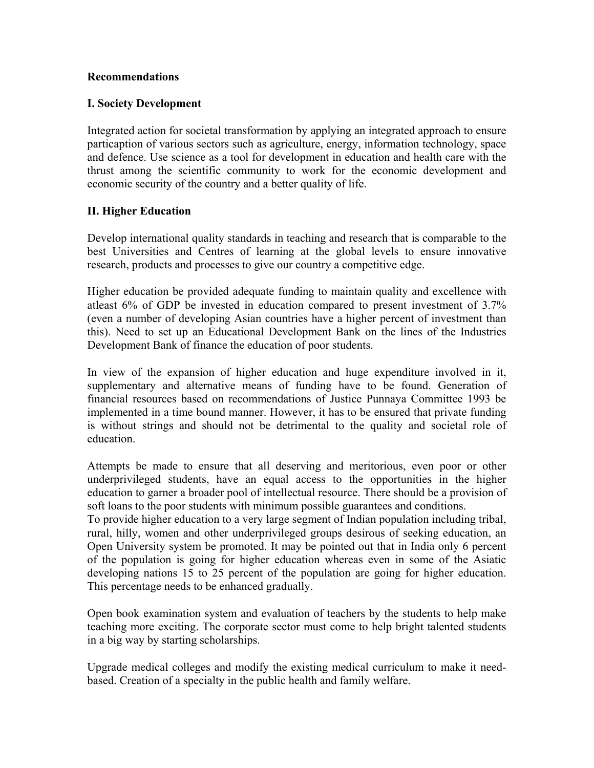#### **Recommendations**

## **I. Society Development**

Integrated action for societal transformation by applying an integrated approach to ensure particaption of various sectors such as agriculture, energy, information technology, space and defence. Use science as a tool for development in education and health care with the thrust among the scientific community to work for the economic development and economic security of the country and a better quality of life.

# **II. Higher Education**

Develop international quality standards in teaching and research that is comparable to the best Universities and Centres of learning at the global levels to ensure innovative research, products and processes to give our country a competitive edge.

Higher education be provided adequate funding to maintain quality and excellence with atleast 6% of GDP be invested in education compared to present investment of 3.7% (even a number of developing Asian countries have a higher percent of investment than this). Need to set up an Educational Development Bank on the lines of the Industries Development Bank of finance the education of poor students.

In view of the expansion of higher education and huge expenditure involved in it, supplementary and alternative means of funding have to be found. Generation of financial resources based on recommendations of Justice Punnaya Committee 1993 be implemented in a time bound manner. However, it has to be ensured that private funding is without strings and should not be detrimental to the quality and societal role of education.

Attempts be made to ensure that all deserving and meritorious, even poor or other underprivileged students, have an equal access to the opportunities in the higher education to garner a broader pool of intellectual resource. There should be a provision of soft loans to the poor students with minimum possible guarantees and conditions.

To provide higher education to a very large segment of Indian population including tribal, rural, hilly, women and other underprivileged groups desirous of seeking education, an Open University system be promoted. It may be pointed out that in India only 6 percent of the population is going for higher education whereas even in some of the Asiatic developing nations 15 to 25 percent of the population are going for higher education. This percentage needs to be enhanced gradually.

Open book examination system and evaluation of teachers by the students to help make teaching more exciting. The corporate sector must come to help bright talented students in a big way by starting scholarships.

Upgrade medical colleges and modify the existing medical curriculum to make it needbased. Creation of a specialty in the public health and family welfare.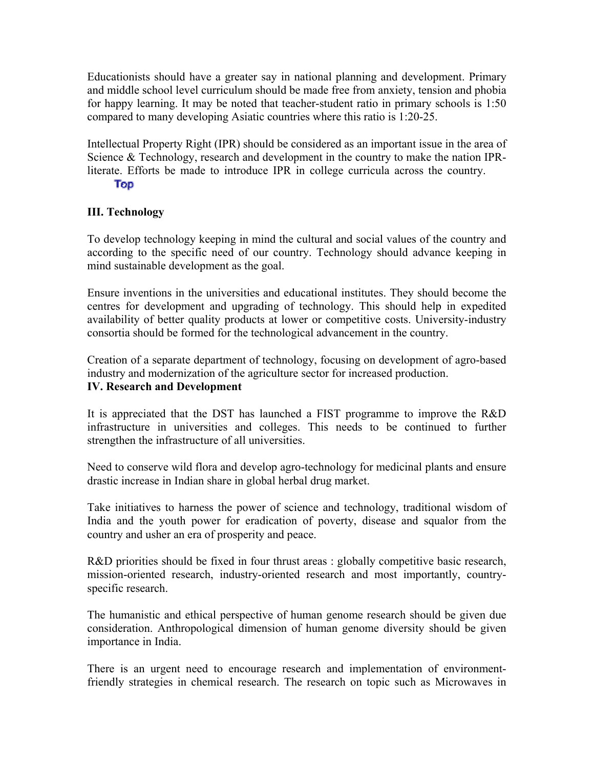Educationists should have a greater say in national planning and development. Primary and middle school level curriculum should be made free from anxiety, tension and phobia for happy learning. It may be noted that teacher-student ratio in primary schools is 1:50 compared to many developing Asiatic countries where this ratio is 1:20-25.

Intellectual Property Right (IPR) should be considered as an important issue in the area of Science & Technology, research and development in the country to make the nation IPRliterate. Efforts be made to introduce IPR in college curricula across the country.

#### Top

# **III. Technology**

To develop technology keeping in mind the cultural and social values of the country and according to the specific need of our country. Technology should advance keeping in mind sustainable development as the goal.

Ensure inventions in the universities and educational institutes. They should become the centres for development and upgrading of technology. This should help in expedited availability of better quality products at lower or competitive costs. University-industry consortia should be formed for the technological advancement in the country.

Creation of a separate department of technology, focusing on development of agro-based industry and modernization of the agriculture sector for increased production. **IV. Research and Development**

It is appreciated that the DST has launched a FIST programme to improve the R&D infrastructure in universities and colleges. This needs to be continued to further strengthen the infrastructure of all universities.

Need to conserve wild flora and develop agro-technology for medicinal plants and ensure drastic increase in Indian share in global herbal drug market.

Take initiatives to harness the power of science and technology, traditional wisdom of India and the youth power for eradication of poverty, disease and squalor from the country and usher an era of prosperity and peace.

R&D priorities should be fixed in four thrust areas : globally competitive basic research, mission-oriented research, industry-oriented research and most importantly, countryspecific research.

The humanistic and ethical perspective of human genome research should be given due consideration. Anthropological dimension of human genome diversity should be given importance in India.

There is an urgent need to encourage research and implementation of environmentfriendly strategies in chemical research. The research on topic such as Microwaves in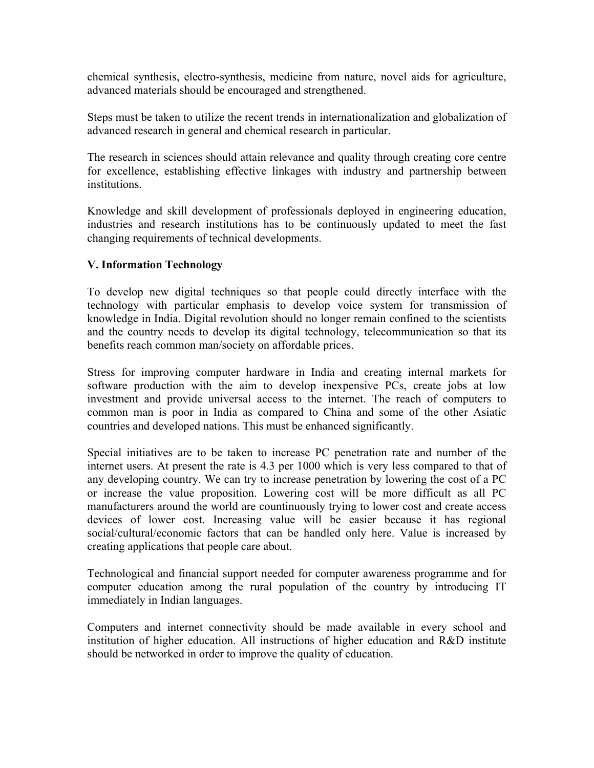chemical synthesis, electro-synthesis, medicine from nature, novel aids for agriculture, advanced materials should be encouraged and strengthened.

Steps must be taken to utilize the recent trends in internationalization and globalization of advanced research in general and chemical research in particular.

The research in sciences should attain relevance and quality through creating core centre for excellence, establishing effective linkages with industry and partnership between institutions.

Knowledge and skill development of professionals deployed in engineering education, industries and research institutions has to be continuously updated to meet the fast changing requirements of technical developments.

## **V. Information Technology**

To develop new digital techniques so that people could directly interface with the technology with particular emphasis to develop voice system for transmission of knowledge in India. Digital revolution should no longer remain confined to the scientists and the country needs to develop its digital technology, telecommunication so that its benefits reach common man/society on affordable prices.

Stress for improving computer hardware in India and creating internal markets for software production with the aim to develop inexpensive PCs, create jobs at low investment and provide universal access to the internet. The reach of computers to common man is poor in India as compared to China and some of the other Asiatic countries and developed nations. This must be enhanced significantly.

Special initiatives are to be taken to increase PC penetration rate and number of the internet users. At present the rate is 4.3 per 1000 which is very less compared to that of any developing country. We can try to increase penetration by lowering the cost of a PC or increase the value proposition. Lowering cost will be more difficult as all PC manufacturers around the world are countinuously trying to lower cost and create access devices of lower cost. Increasing value will be easier because it has regional social/cultural/economic factors that can be handled only here. Value is increased by creating applications that people care about.

Technological and financial support needed for computer awareness programme and for computer education among the rural population of the country by introducing IT immediately in Indian languages.

Computers and internet connectivity should be made available in every school and institution of higher education. All instructions of higher education and R&D institute should be networked in order to improve the quality of education.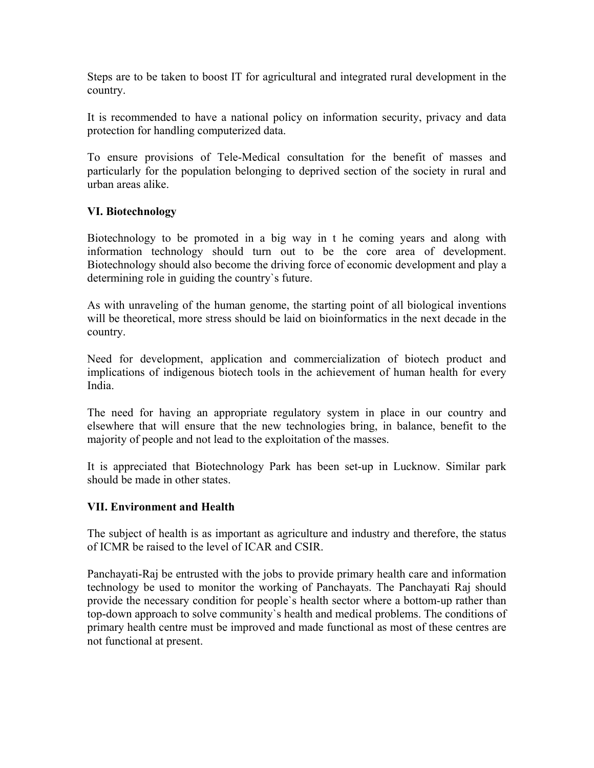Steps are to be taken to boost IT for agricultural and integrated rural development in the country.

It is recommended to have a national policy on information security, privacy and data protection for handling computerized data.

To ensure provisions of Tele-Medical consultation for the benefit of masses and particularly for the population belonging to deprived section of the society in rural and urban areas alike.

## **VI. Biotechnology**

Biotechnology to be promoted in a big way in t he coming years and along with information technology should turn out to be the core area of development. Biotechnology should also become the driving force of economic development and play a determining role in guiding the country`s future.

As with unraveling of the human genome, the starting point of all biological inventions will be theoretical, more stress should be laid on bioinformatics in the next decade in the country.

Need for development, application and commercialization of biotech product and implications of indigenous biotech tools in the achievement of human health for every India.

The need for having an appropriate regulatory system in place in our country and elsewhere that will ensure that the new technologies bring, in balance, benefit to the majority of people and not lead to the exploitation of the masses.

It is appreciated that Biotechnology Park has been set-up in Lucknow. Similar park should be made in other states.

#### **VII. Environment and Health**

The subject of health is as important as agriculture and industry and therefore, the status of ICMR be raised to the level of ICAR and CSIR.

Panchayati-Raj be entrusted with the jobs to provide primary health care and information technology be used to monitor the working of Panchayats. The Panchayati Raj should provide the necessary condition for people`s health sector where a bottom-up rather than top-down approach to solve community`s health and medical problems. The conditions of primary health centre must be improved and made functional as most of these centres are not functional at present.